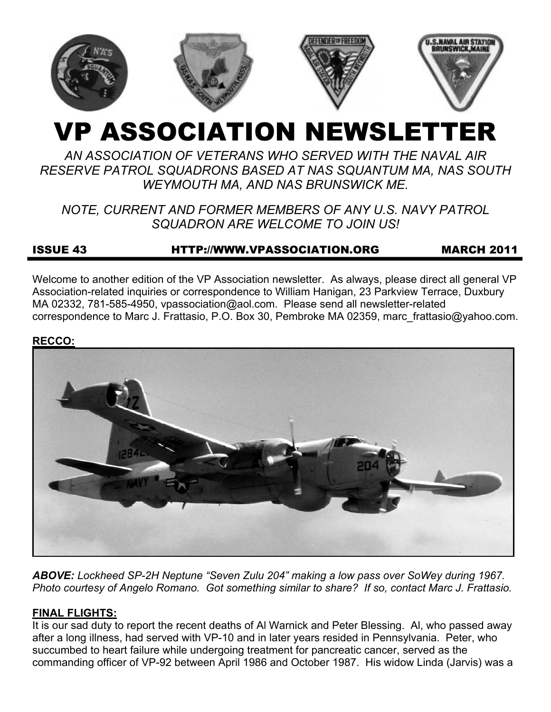

# VP ASSOCIATION NEWSLETTER

# *AN ASSOCIATION OF VETERANS WHO SERVED WITH THE NAVAL AIR RESERVE PATROL SQUADRONS BASED AT NAS SQUANTUM MA, NAS SOUTH WEYMOUTH MA, AND NAS BRUNSWICK ME.*

# *NOTE, CURRENT AND FORMER MEMBERS OF ANY U.S. NAVY PATROL SQUADRON ARE WELCOME TO JOIN US!*

# ISSUE 43 HTTP://WWW.VPASSOCIATION.ORG MARCH 2011

Welcome to another edition of the VP Association newsletter. As always, please direct all general VP Association-related inquiries or correspondence to William Hanigan, 23 Parkview Terrace, Duxbury MA 02332, 781-585-4950, vpassociation@aol.com. Please send all newsletter-related correspondence to Marc J. Frattasio, P.O. Box 30, Pembroke MA 02359, marc\_frattasio@yahoo.com.

#### **RECCO:**



*ABOVE: Lockheed SP-2H Neptune "Seven Zulu 204" making a low pass over SoWey during 1967. Photo courtesy of Angelo Romano. Got something similar to share? If so, contact Marc J. Frattasio.* 

#### **FINAL FLIGHTS:**

It is our sad duty to report the recent deaths of Al Warnick and Peter Blessing. Al, who passed away after a long illness, had served with VP-10 and in later years resided in Pennsylvania. Peter, who succumbed to heart failure while undergoing treatment for pancreatic cancer, served as the commanding officer of VP-92 between April 1986 and October 1987. His widow Linda (Jarvis) was a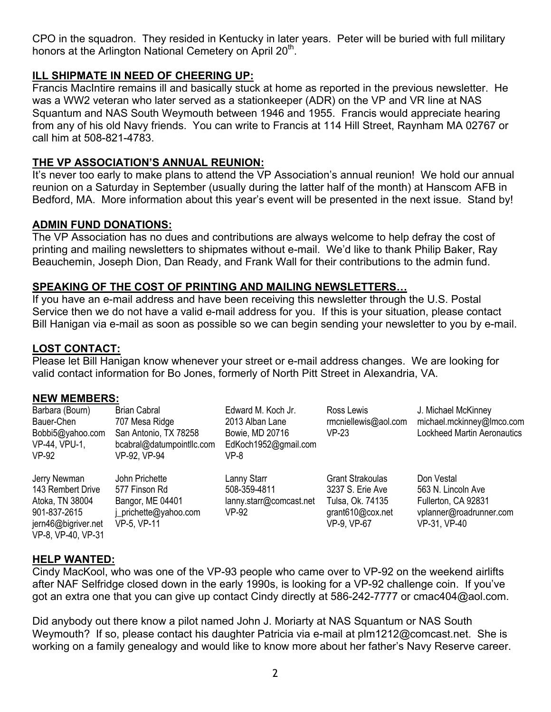CPO in the squadron. They resided in Kentucky in later years. Peter will be buried with full military honors at the Arlington National Cemetery on April 20<sup>th</sup>.

## **ILL SHIPMATE IN NEED OF CHEERING UP:**

Francis MacIntire remains ill and basically stuck at home as reported in the previous newsletter. He was a WW2 veteran who later served as a stationkeeper (ADR) on the VP and VR line at NAS Squantum and NAS South Weymouth between 1946 and 1955. Francis would appreciate hearing from any of his old Navy friends. You can write to Francis at 114 Hill Street, Raynham MA 02767 or call him at 508-821-4783.

## **THE VP ASSOCIATION'S ANNUAL REUNION:**

It's never too early to make plans to attend the VP Association's annual reunion! We hold our annual reunion on a Saturday in September (usually during the latter half of the month) at Hanscom AFB in Bedford, MA. More information about this year's event will be presented in the next issue. Stand by!

#### **ADMIN FUND DONATIONS:**

The VP Association has no dues and contributions are always welcome to help defray the cost of printing and mailing newsletters to shipmates without e-mail. We'd like to thank Philip Baker, Ray Beauchemin, Joseph Dion, Dan Ready, and Frank Wall for their contributions to the admin fund.

#### **SPEAKING OF THE COST OF PRINTING AND MAILING NEWSLETTERS…**

If you have an e-mail address and have been receiving this newsletter through the U.S. Postal Service then we do not have a valid e-mail address for you. If this is your situation, please contact Bill Hanigan via e-mail as soon as possible so we can begin sending your newsletter to you by e-mail.

## **LOST CONTACT:**

Please let Bill Hanigan know whenever your street or e-mail address changes. We are looking for valid contact information for Bo Jones, formerly of North Pitt Street in Alexandria, VA.

#### **NEW MEMBERS:**

| Barbara (Bourn)<br>Bauer-Chen<br>Bobbi5@yahoo.com<br>VP-44, VPU-1,<br>$VP-92$                                     | <b>Brian Cabral</b><br>707 Mesa Ridge<br>San Antonio, TX 78258<br>bcabral@datumpointllc.com<br>VP-92, VP-94 | Edward M. Koch Jr.<br>2013 Alban Lane<br>Bowie, MD 20716<br>EdKoch1952@gmail.com<br>$VP-8$ | Ross Lewis<br>rmcniellewis@aol.com<br>$VP-23$                                                      | J. Michael McKinney<br>michael.mckinney@Imco.com<br>Lockheed Martin Aeronautics                    |
|-------------------------------------------------------------------------------------------------------------------|-------------------------------------------------------------------------------------------------------------|--------------------------------------------------------------------------------------------|----------------------------------------------------------------------------------------------------|----------------------------------------------------------------------------------------------------|
| Jerry Newman<br>143 Rembert Drive<br>Atoka, TN 38004<br>901-837-2615<br>jern46@bigriver.net<br>VP-8, VP-40, VP-31 | John Prichette<br>577 Finson Rd<br>Bangor, ME 04401<br>j_prichette@yahoo.com<br>VP-5, VP-11                 | Lanny Starr<br>508-359-4811<br>lanny.starr@comcast.net<br>$VP-92$                          | <b>Grant Strakoulas</b><br>3237 S. Erie Ave<br>Tulsa, Ok. 74135<br>grant610@cox.net<br>VP-9, VP-67 | Don Vestal<br>563 N. Lincoln Ave<br>Fullerton, CA 92831<br>vplanner@roadrunner.com<br>VP-31, VP-40 |

## **HELP WANTED:**

Cindy MacKool, who was one of the VP-93 people who came over to VP-92 on the weekend airlifts after NAF Selfridge closed down in the early 1990s, is looking for a VP-92 challenge coin. If you've got an extra one that you can give up contact Cindy directly at 586-242-7777 or cmac404@aol.com.

Did anybody out there know a pilot named John J. Moriarty at NAS Squantum or NAS South Weymouth? If so, please contact his daughter Patricia via e-mail at plm1212@comcast.net. She is working on a family genealogy and would like to know more about her father's Navy Reserve career.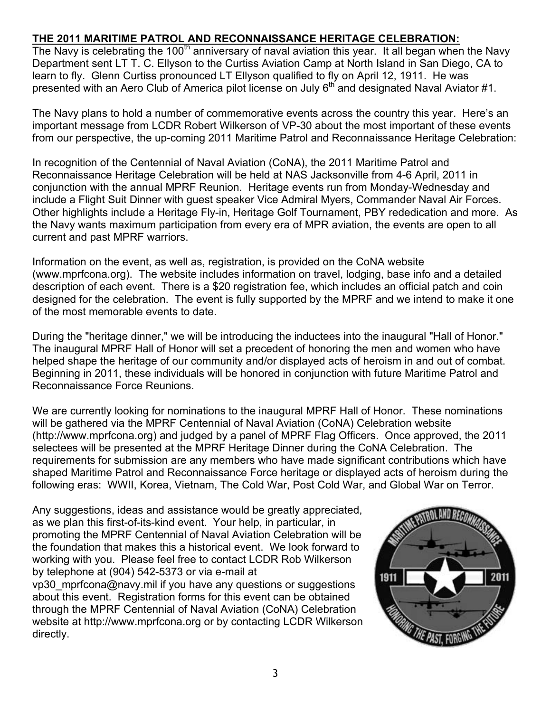## **THE 2011 MARITIME PATROL AND RECONNAISSANCE HERITAGE CELEBRATION:**

The Navy is celebrating the 100<sup>th</sup> anniversary of naval aviation this year. It all began when the Navy Department sent LT T. C. Ellyson to the Curtiss Aviation Camp at North Island in San Diego, CA to learn to fly. Glenn Curtiss pronounced LT Ellyson qualified to fly on April 12, 1911. He was presented with an Aero Club of America pilot license on July  $6<sup>th</sup>$  and designated Naval Aviator #1.

The Navy plans to hold a number of commemorative events across the country this year. Here's an important message from LCDR Robert Wilkerson of VP-30 about the most important of these events from our perspective, the up-coming 2011 Maritime Patrol and Reconnaissance Heritage Celebration:

In recognition of the Centennial of Naval Aviation (CoNA), the 2011 Maritime Patrol and Reconnaissance Heritage Celebration will be held at NAS Jacksonville from 4-6 April, 2011 in conjunction with the annual MPRF Reunion. Heritage events run from Monday-Wednesday and include a Flight Suit Dinner with guest speaker Vice Admiral Myers, Commander Naval Air Forces. Other highlights include a Heritage Fly-in, Heritage Golf Tournament, PBY rededication and more. As the Navy wants maximum participation from every era of MPR aviation, the events are open to all current and past MPRF warriors.

Information on the event, as well as, registration, is provided on the CoNA website (www.mprfcona.org). The website includes information on travel, lodging, base info and a detailed description of each event. There is a \$20 registration fee, which includes an official patch and coin designed for the celebration. The event is fully supported by the MPRF and we intend to make it one of the most memorable events to date.

During the "heritage dinner," we will be introducing the inductees into the inaugural "Hall of Honor." The inaugural MPRF Hall of Honor will set a precedent of honoring the men and women who have helped shape the heritage of our community and/or displayed acts of heroism in and out of combat. Beginning in 2011, these individuals will be honored in conjunction with future Maritime Patrol and Reconnaissance Force Reunions.

We are currently looking for nominations to the inaugural MPRF Hall of Honor. These nominations will be gathered via the MPRF Centennial of Naval Aviation (CoNA) Celebration website (http://www.mprfcona.org) and judged by a panel of MPRF Flag Officers. Once approved, the 2011 selectees will be presented at the MPRF Heritage Dinner during the CoNA Celebration. The requirements for submission are any members who have made significant contributions which have shaped Maritime Patrol and Reconnaissance Force heritage or displayed acts of heroism during the following eras: WWII, Korea, Vietnam, The Cold War, Post Cold War, and Global War on Terror.

Any suggestions, ideas and assistance would be greatly appreciated, as we plan this first-of-its-kind event. Your help, in particular, in promoting the MPRF Centennial of Naval Aviation Celebration will be the foundation that makes this a historical event. We look forward to working with you. Please feel free to contact LCDR Rob Wilkerson by telephone at (904) 542-5373 or via e-mail at vp30\_mprfcona@navy.mil if you have any questions or suggestions about this event. Registration forms for this event can be obtained through the MPRF Centennial of Naval Aviation (CoNA) Celebration website at http://www.mprfcona.org or by contacting LCDR Wilkerson

directly.

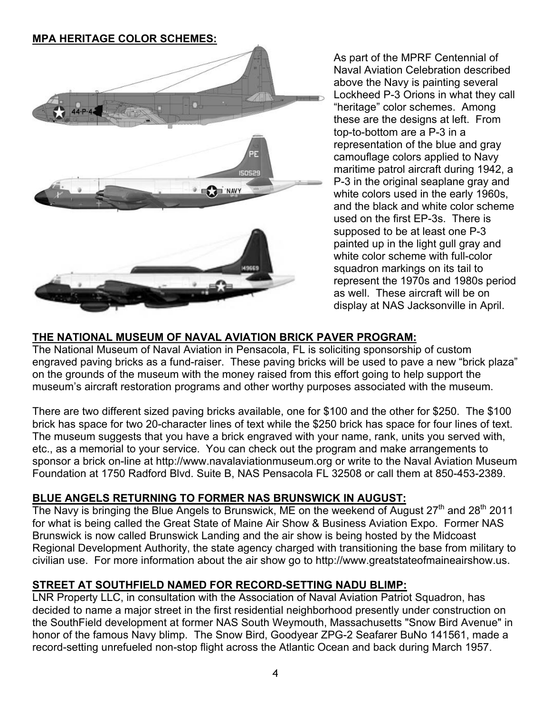## **MPA HERITAGE COLOR SCHEMES:**



As part of the MPRF Centennial of Naval Aviation Celebration described above the Navy is painting several Lockheed P-3 Orions in what they call "heritage" color schemes. Among these are the designs at left. From top-to-bottom are a P-3 in a representation of the blue and gray camouflage colors applied to Navy maritime patrol aircraft during 1942, a P-3 in the original seaplane gray and white colors used in the early 1960s, and the black and white color scheme used on the first EP-3s. There is supposed to be at least one P-3 painted up in the light gull gray and white color scheme with full-color squadron markings on its tail to represent the 1970s and 1980s period as well. These aircraft will be on display at NAS Jacksonville in April.

## **THE NATIONAL MUSEUM OF NAVAL AVIATION BRICK PAVER PROGRAM:**

The National Museum of Naval Aviation in Pensacola, FL is soliciting sponsorship of custom engraved paving bricks as a fund-raiser. These paving bricks will be used to pave a new "brick plaza" on the grounds of the museum with the money raised from this effort going to help support the museum's aircraft restoration programs and other worthy purposes associated with the museum.

There are two different sized paving bricks available, one for \$100 and the other for \$250. The \$100 brick has space for two 20-character lines of text while the \$250 brick has space for four lines of text. The museum suggests that you have a brick engraved with your name, rank, units you served with, etc., as a memorial to your service. You can check out the program and make arrangements to sponsor a brick on-line at http://www.navalaviationmuseum.org or write to the Naval Aviation Museum Foundation at 1750 Radford Blvd. Suite B, NAS Pensacola FL 32508 or call them at 850-453-2389.

## **BLUE ANGELS RETURNING TO FORMER NAS BRUNSWICK IN AUGUST:**

The Navy is bringing the Blue Angels to Brunswick, ME on the weekend of August  $27<sup>th</sup>$  and  $28<sup>th</sup>$  2011 for what is being called the Great State of Maine Air Show & Business Aviation Expo. Former NAS Brunswick is now called Brunswick Landing and the air show is being hosted by the Midcoast Regional Development Authority, the state agency charged with transitioning the base from military to civilian use. For more information about the air show go to http://www.greatstateofmaineairshow.us.

## **STREET AT SOUTHFIELD NAMED FOR RECORD-SETTING NADU BLIMP:**

LNR Property LLC, in consultation with the Association of Naval Aviation Patriot Squadron, has decided to name a major street in the first residential neighborhood presently under construction on the SouthField development at former NAS South Weymouth, Massachusetts "Snow Bird Avenue" in honor of the famous Navy blimp. The Snow Bird, Goodyear ZPG-2 Seafarer BuNo 141561, made a record-setting unrefueled non-stop flight across the Atlantic Ocean and back during March 1957.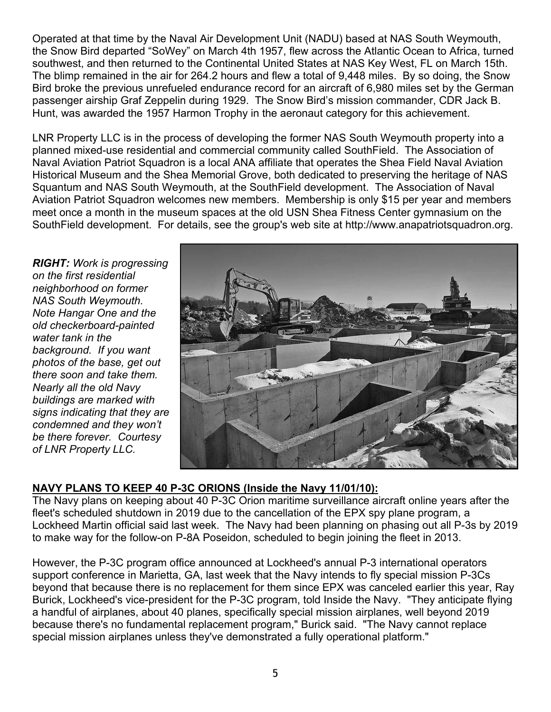Operated at that time by the Naval Air Development Unit (NADU) based at NAS South Weymouth, the Snow Bird departed "SoWey" on March 4th 1957, flew across the Atlantic Ocean to Africa, turned southwest, and then returned to the Continental United States at NAS Key West, FL on March 15th. The blimp remained in the air for 264.2 hours and flew a total of 9,448 miles. By so doing, the Snow Bird broke the previous unrefueled endurance record for an aircraft of 6,980 miles set by the German passenger airship Graf Zeppelin during 1929. The Snow Bird's mission commander, CDR Jack B. Hunt, was awarded the 1957 Harmon Trophy in the aeronaut category for this achievement.

LNR Property LLC is in the process of developing the former NAS South Weymouth property into a planned mixed-use residential and commercial community called SouthField. The Association of Naval Aviation Patriot Squadron is a local ANA affiliate that operates the Shea Field Naval Aviation Historical Museum and the Shea Memorial Grove, both dedicated to preserving the heritage of NAS Squantum and NAS South Weymouth, at the SouthField development. The Association of Naval Aviation Patriot Squadron welcomes new members. Membership is only \$15 per year and members meet once a month in the museum spaces at the old USN Shea Fitness Center gymnasium on the SouthField development. For details, see the group's web site at http://www.anapatriotsquadron.org.

*RIGHT: Work is progressing on the first residential neighborhood on former NAS South Weymouth. Note Hangar One and the old checkerboard-painted water tank in the background. If you want photos of the base, get out there soon and take them. Nearly all the old Navy buildings are marked with signs indicating that they are condemned and they won't be there forever. Courtesy of LNR Property LLC.*



## **NAVY PLANS TO KEEP 40 P-3C ORIONS (Inside the Navy 11/01/10):**

The Navy plans on keeping about 40 P-3C Orion maritime surveillance aircraft online years after the fleet's scheduled shutdown in 2019 due to the cancellation of the EPX spy plane program, a Lockheed Martin official said last week. The Navy had been planning on phasing out all P-3s by 2019 to make way for the follow-on P-8A Poseidon, scheduled to begin joining the fleet in 2013.

However, the P-3C program office announced at Lockheed's annual P-3 international operators support conference in Marietta, GA, last week that the Navy intends to fly special mission P-3Cs beyond that because there is no replacement for them since EPX was canceled earlier this year, Ray Burick, Lockheed's vice-president for the P-3C program, told Inside the Navy. "They anticipate flying a handful of airplanes, about 40 planes, specifically special mission airplanes, well beyond 2019 because there's no fundamental replacement program," Burick said. "The Navy cannot replace special mission airplanes unless they've demonstrated a fully operational platform."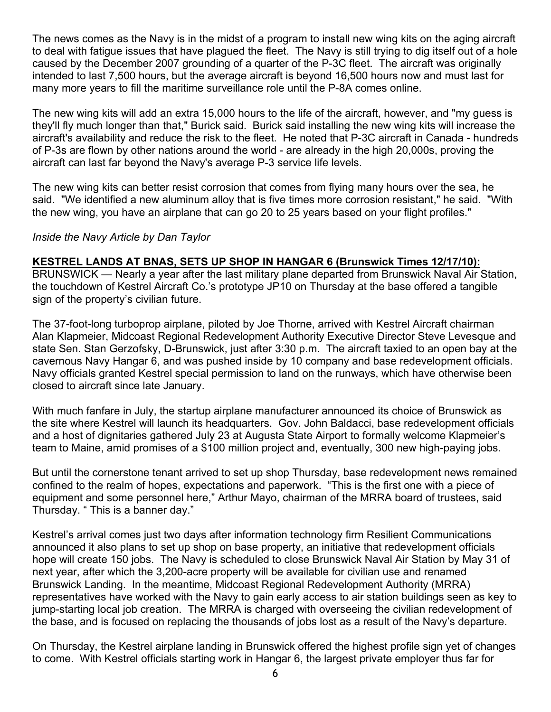The news comes as the Navy is in the midst of a program to install new wing kits on the aging aircraft to deal with fatigue issues that have plagued the fleet. The Navy is still trying to dig itself out of a hole caused by the December 2007 grounding of a quarter of the P-3C fleet. The aircraft was originally intended to last 7,500 hours, but the average aircraft is beyond 16,500 hours now and must last for many more years to fill the maritime surveillance role until the P-8A comes online.

The new wing kits will add an extra 15,000 hours to the life of the aircraft, however, and "my guess is they'll fly much longer than that," Burick said. Burick said installing the new wing kits will increase the aircraft's availability and reduce the risk to the fleet. He noted that P-3C aircraft in Canada - hundreds of P-3s are flown by other nations around the world - are already in the high 20,000s, proving the aircraft can last far beyond the Navy's average P-3 service life levels.

The new wing kits can better resist corrosion that comes from flying many hours over the sea, he said. "We identified a new aluminum alloy that is five times more corrosion resistant," he said. "With the new wing, you have an airplane that can go 20 to 25 years based on your flight profiles."

#### *Inside the Navy Article by Dan Taylor*

## **KESTREL LANDS AT BNAS, SETS UP SHOP IN HANGAR 6 (Brunswick Times 12/17/10):**

BRUNSWICK — Nearly a year after the last military plane departed from Brunswick Naval Air Station, the touchdown of Kestrel Aircraft Co.'s prototype JP10 on Thursday at the base offered a tangible sign of the property's civilian future.

The 37-foot-long turboprop airplane, piloted by Joe Thorne, arrived with Kestrel Aircraft chairman Alan Klapmeier, Midcoast Regional Redevelopment Authority Executive Director Steve Levesque and state Sen. Stan Gerzofsky, D-Brunswick, just after 3:30 p.m. The aircraft taxied to an open bay at the cavernous Navy Hangar 6, and was pushed inside by 10 company and base redevelopment officials. Navy officials granted Kestrel special permission to land on the runways, which have otherwise been closed to aircraft since late January.

With much fanfare in July, the startup airplane manufacturer announced its choice of Brunswick as the site where Kestrel will launch its headquarters. Gov. John Baldacci, base redevelopment officials and a host of dignitaries gathered July 23 at Augusta State Airport to formally welcome Klapmeier's team to Maine, amid promises of a \$100 million project and, eventually, 300 new high-paying jobs.

But until the cornerstone tenant arrived to set up shop Thursday, base redevelopment news remained confined to the realm of hopes, expectations and paperwork. "This is the first one with a piece of equipment and some personnel here," Arthur Mayo, chairman of the MRRA board of trustees, said Thursday. " This is a banner day."

Kestrel's arrival comes just two days after information technology firm Resilient Communications announced it also plans to set up shop on base property, an initiative that redevelopment officials hope will create 150 jobs. The Navy is scheduled to close Brunswick Naval Air Station by May 31 of next year, after which the 3,200-acre property will be available for civilian use and renamed Brunswick Landing. In the meantime, Midcoast Regional Redevelopment Authority (MRRA) representatives have worked with the Navy to gain early access to air station buildings seen as key to jump-starting local job creation. The MRRA is charged with overseeing the civilian redevelopment of the base, and is focused on replacing the thousands of jobs lost as a result of the Navy's departure.

On Thursday, the Kestrel airplane landing in Brunswick offered the highest profile sign yet of changes to come. With Kestrel officials starting work in Hangar 6, the largest private employer thus far for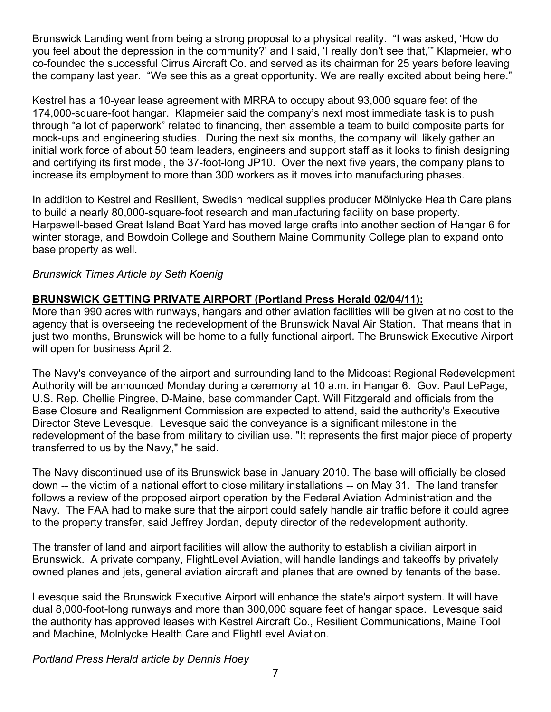Brunswick Landing went from being a strong proposal to a physical reality. "I was asked, 'How do you feel about the depression in the community?' and I said, 'I really don't see that,'" Klapmeier, who co-founded the successful Cirrus Aircraft Co. and served as its chairman for 25 years before leaving the company last year. "We see this as a great opportunity. We are really excited about being here."

Kestrel has a 10-year lease agreement with MRRA to occupy about 93,000 square feet of the 174,000-square-foot hangar. Klapmeier said the company's next most immediate task is to push through "a lot of paperwork" related to financing, then assemble a team to build composite parts for mock-ups and engineering studies. During the next six months, the company will likely gather an initial work force of about 50 team leaders, engineers and support staff as it looks to finish designing and certifying its first model, the 37-foot-long JP10. Over the next five years, the company plans to increase its employment to more than 300 workers as it moves into manufacturing phases.

In addition to Kestrel and Resilient, Swedish medical supplies producer Mölnlycke Health Care plans to build a nearly 80,000-square-foot research and manufacturing facility on base property. Harpswell-based Great Island Boat Yard has moved large crafts into another section of Hangar 6 for winter storage, and Bowdoin College and Southern Maine Community College plan to expand onto base property as well.

## *Brunswick Times Article by Seth Koenig*

## **BRUNSWICK GETTING PRIVATE AIRPORT (Portland Press Herald 02/04/11):**

More than 990 acres with runways, hangars and other aviation facilities will be given at no cost to the agency that is overseeing the redevelopment of the Brunswick Naval Air Station. That means that in just two months, Brunswick will be home to a fully functional airport. The Brunswick Executive Airport will open for business April 2.

The Navy's conveyance of the airport and surrounding land to the Midcoast Regional Redevelopment Authority will be announced Monday during a ceremony at 10 a.m. in Hangar 6. Gov. Paul LePage, U.S. Rep. Chellie Pingree, D-Maine, base commander Capt. Will Fitzgerald and officials from the Base Closure and Realignment Commission are expected to attend, said the authority's Executive Director Steve Levesque. Levesque said the conveyance is a significant milestone in the redevelopment of the base from military to civilian use. "It represents the first major piece of property transferred to us by the Navy," he said.

The Navy discontinued use of its Brunswick base in January 2010. The base will officially be closed down -- the victim of a national effort to close military installations -- on May 31. The land transfer follows a review of the proposed airport operation by the Federal Aviation Administration and the Navy. The FAA had to make sure that the airport could safely handle air traffic before it could agree to the property transfer, said Jeffrey Jordan, deputy director of the redevelopment authority.

The transfer of land and airport facilities will allow the authority to establish a civilian airport in Brunswick. A private company, FlightLevel Aviation, will handle landings and takeoffs by privately owned planes and jets, general aviation aircraft and planes that are owned by tenants of the base.

Levesque said the Brunswick Executive Airport will enhance the state's airport system. It will have dual 8,000-foot-long runways and more than 300,000 square feet of hangar space. Levesque said the authority has approved leases with Kestrel Aircraft Co., Resilient Communications, Maine Tool and Machine, Molnlycke Health Care and FlightLevel Aviation.

*Portland Press Herald article by Dennis Hoey*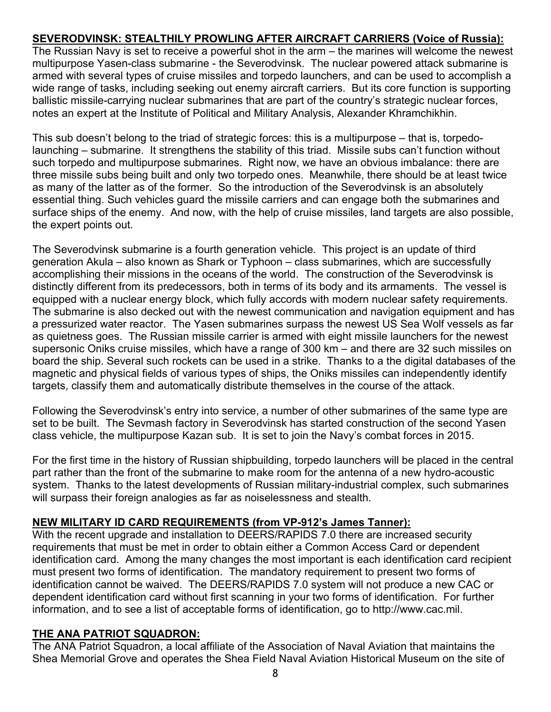## **SEVERODVINSK: STEALTHILY PROWLING AFTER AIRCRAFT CARRIERS (Voice of Russia):**

The Russian Navy is set to receive a powerful shot in the arm – the marines will welcome the newest multipurpose Yasen-class submarine - the Severodvinsk. The nuclear powered attack submarine is armed with several types of cruise missiles and torpedo launchers, and can be used to accomplish a wide range of tasks, including seeking out enemy aircraft carriers. But its core function is supporting ballistic missile-carrying nuclear submarines that are part of the country's strategic nuclear forces, notes an expert at the Institute of Political and Military Analysis, Alexander Khramchikhin.

This sub doesn't belong to the triad of strategic forces: this is a multipurpose – that is, torpedolaunching – submarine. It strengthens the stability of this triad. Missile subs can't function without such torpedo and multipurpose submarines. Right now, we have an obvious imbalance: there are three missile subs being built and only two torpedo ones. Meanwhile, there should be at least twice as many of the latter as of the former. So the introduction of the Severodvinsk is an absolutely essential thing. Such vehicles guard the missile carriers and can engage both the submarines and surface ships of the enemy. And now, with the help of cruise missiles, land targets are also possible, the expert points out.

The Severodvinsk submarine is a fourth generation vehicle. This project is an update of third generation Akula – also known as Shark or Typhoon – class submarines, which are successfully accomplishing their missions in the oceans of the world. The construction of the Severodvinsk is distinctly different from its predecessors, both in terms of its body and its armaments. The vessel is equipped with a nuclear energy block, which fully accords with modern nuclear safety requirements. The submarine is also decked out with the newest communication and navigation equipment and has a pressurized water reactor. The Yasen submarines surpass the newest US Sea Wolf vessels as far as quietness goes. The Russian missile carrier is armed with eight missile launchers for the newest supersonic Oniks cruise missiles, which have a range of 300 km – and there are 32 such missiles on board the ship. Several such rockets can be used in a strike. Thanks to a the digital databases of the magnetic and physical fields of various types of ships, the Oniks missiles can independently identify targets, classify them and automatically distribute themselves in the course of the attack.

Following the Severodvinsk's entry into service, a number of other submarines of the same type are set to be built. The Sevmash factory in Severodvinsk has started construction of the second Yasen class vehicle, the multipurpose Kazan sub. It is set to join the Navy's combat forces in 2015.

For the first time in the history of Russian shipbuilding, torpedo launchers will be placed in the central part rather than the front of the submarine to make room for the antenna of a new hydro-acoustic system. Thanks to the latest developments of Russian military-industrial complex, such submarines will surpass their foreign analogies as far as noiselessness and stealth.

## **NEW MILITARY ID CARD REQUIREMENTS (from VP-912's James Tanner):**

With the recent upgrade and installation to DEERS/RAPIDS 7.0 there are increased security requirements that must be met in order to obtain either a Common Access Card or dependent identification card. Among the many changes the most important is each identification card recipient must present two forms of identification. The mandatory requirement to present two forms of identification cannot be waived. The DEERS/RAPIDS 7.0 system will not produce a new CAC or dependent identification card without first scanning in your two forms of identification. For further information, and to see a list of acceptable forms of identification, go to http://www.cac.mil.

## **THE ANA PATRIOT SQUADRON:**

The ANA Patriot Squadron, a local affiliate of the Association of Naval Aviation that maintains the Shea Memorial Grove and operates the Shea Field Naval Aviation Historical Museum on the site of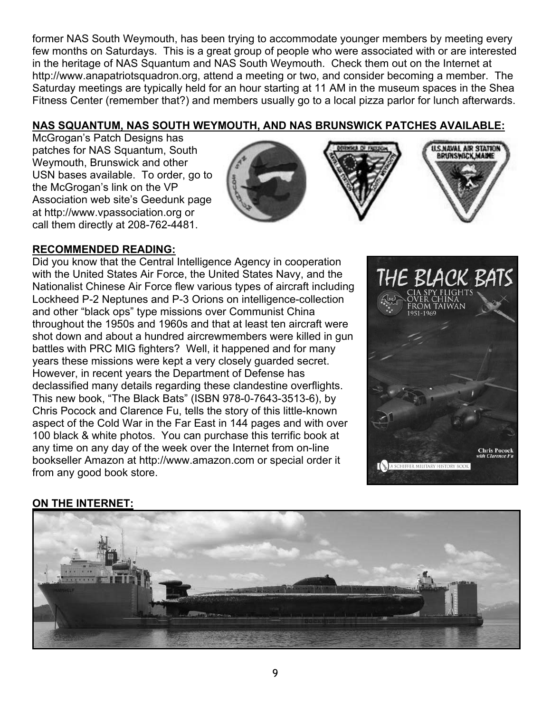former NAS South Weymouth, has been trying to accommodate younger members by meeting every few months on Saturdays. This is a great group of people who were associated with or are interested in the heritage of NAS Squantum and NAS South Weymouth. Check them out on the Internet at http://www.anapatriotsquadron.org, attend a meeting or two, and consider becoming a member. The Saturday meetings are typically held for an hour starting at 11 AM in the museum spaces in the Shea Fitness Center (remember that?) and members usually go to a local pizza parlor for lunch afterwards.

# **NAS SQUANTUM, NAS SOUTH WEYMOUTH, AND NAS BRUNSWICK PATCHES AVAILABLE:**

McGrogan's Patch Designs has patches for NAS Squantum, South Weymouth, Brunswick and other USN bases available. To order, go to the McGrogan's link on the VP Association web site's Geedunk page at http://www.vpassociation.org or call them directly at 208-762-4481.



## **RECOMMENDED READING:**

Did you know that the Central Intelligence Agency in cooperation with the United States Air Force, the United States Navy, and the Nationalist Chinese Air Force flew various types of aircraft including Lockheed P-2 Neptunes and P-3 Orions on intelligence-collection and other "black ops" type missions over Communist China throughout the 1950s and 1960s and that at least ten aircraft were shot down and about a hundred aircrewmembers were killed in gun battles with PRC MIG fighters? Well, it happened and for many years these missions were kept a very closely guarded secret. However, in recent years the Department of Defense has declassified many details regarding these clandestine overflights. This new book, "The Black Bats" (ISBN 978-0-7643-3513-6), by Chris Pocock and Clarence Fu, tells the story of this little-known aspect of the Cold War in the Far East in 144 pages and with over 100 black & white photos. You can purchase this terrific book at any time on any day of the week over the Internet from on-line bookseller Amazon at http://www.amazon.com or special order it from any good book store.



## **ON THE INTERNET:**

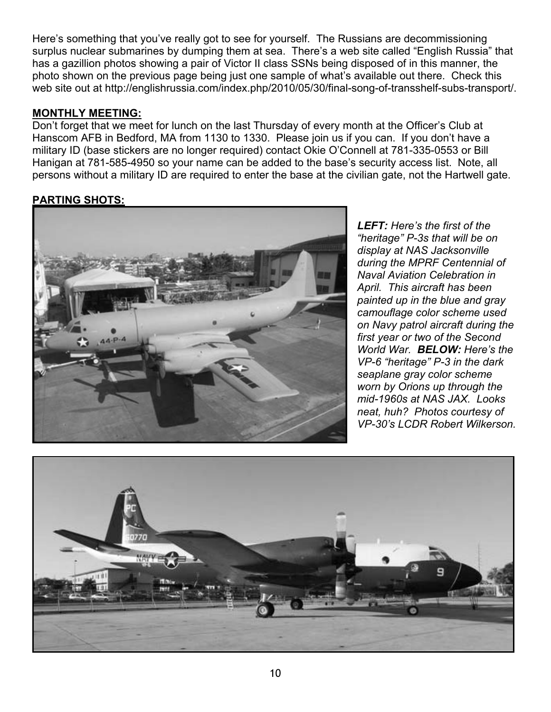Here's something that you've really got to see for yourself. The Russians are decommissioning surplus nuclear submarines by dumping them at sea. There's a web site called "English Russia" that has a gazillion photos showing a pair of Victor II class SSNs being disposed of in this manner, the photo shown on the previous page being just one sample of what's available out there. Check this web site out at http://englishrussia.com/index.php/2010/05/30/final-song-of-transshelf-subs-transport/.

#### **MONTHLY MEETING:**

Don't forget that we meet for lunch on the last Thursday of every month at the Officer's Club at Hanscom AFB in Bedford, MA from 1130 to 1330. Please join us if you can. If you don't have a military ID (base stickers are no longer required) contact Okie O'Connell at 781-335-0553 or Bill Hanigan at 781-585-4950 so your name can be added to the base's security access list. Note, all persons without a military ID are required to enter the base at the civilian gate, not the Hartwell gate.

## **PARTING SHOTS:**



*LEFT: Here's the first of the "heritage" P-3s that will be on display at NAS Jacksonville during the MPRF Centennial of Naval Aviation Celebration in April. This aircraft has been painted up in the blue and gray camouflage color scheme used on Navy patrol aircraft during the first year or two of the Second World War. BELOW: Here's the VP-6 "heritage" P-3 in the dark seaplane gray color scheme worn by Orions up through the mid-1960s at NAS JAX. Looks neat, huh? Photos courtesy of VP-30's LCDR Robert Wilkerson.*

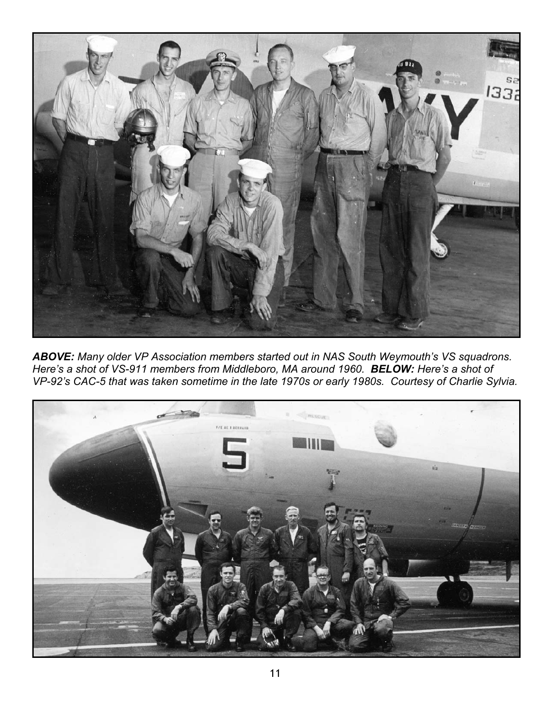

*ABOVE: Many older VP Association members started out in NAS South Weymouth's VS squadrons. Here's a shot of VS-911 members from Middleboro, MA around 1960. BELOW: Here's a shot of VP-92's CAC-5 that was taken sometime in the late 1970s or early 1980s. Courtesy of Charlie Sylvia.*